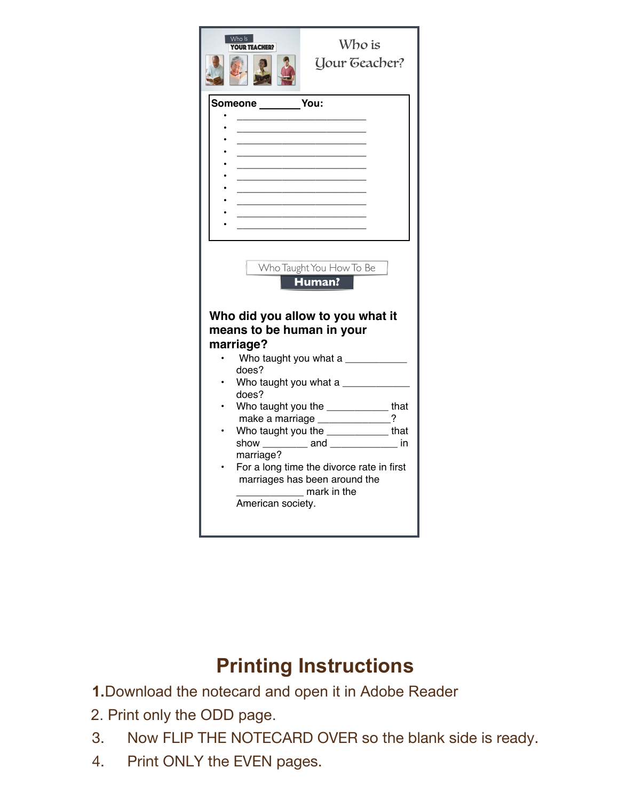

## **Printing Instructions**

**1.**Download the notecard and open it in Adobe Reader

- 2. Print only the ODD page.
- 3. Now FLIP THE NOTECARD OVER so the blank side is ready.
- 4. Print ONLY the EVEN pages.